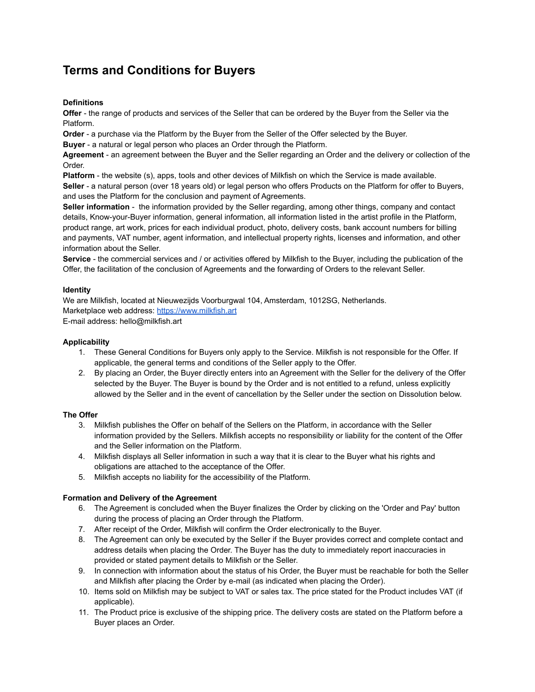# **Terms and Conditions for Buyers**

# **Definitions**

**Offer** - the range of products and services of the Seller that can be ordered by the Buyer from the Seller via the Platform.

**Order** - a purchase via the Platform by the Buyer from the Seller of the Offer selected by the Buyer.

**Buyer** - a natural or legal person who places an Order through the Platform.

**Agreement** - an agreement between the Buyer and the Seller regarding an Order and the delivery or collection of the Order.

**Platform** - the website (s), apps, tools and other devices of Milkfish on which the Service is made available. **Seller** - a natural person (over 18 years old) or legal person who offers Products on the Platform for offer to Buyers, and uses the Platform for the conclusion and payment of Agreements.

**Seller information** - the information provided by the Seller regarding, among other things, company and contact details, Know-your-Buyer information, general information, all information listed in the artist profile in the Platform, product range, art work, prices for each individual product, photo, delivery costs, bank account numbers for billing and payments, VAT number, agent information, and intellectual property rights, licenses and information, and other information about the Seller.

**Service** - the commercial services and / or activities offered by Milkfish to the Buyer, including the publication of the Offer, the facilitation of the conclusion of Agreements and the forwarding of Orders to the relevant Seller.

### **Identity**

We are Milkfish, located at Nieuwezijds Voorburgwal 104, Amsterdam, 1012SG, Netherlands. Marketplace web address: [https://www.milkfish.art](http://www.milkfish.art) E-mail address: hello@milkfish.art

# **Applicability**

- 1. These General Conditions for Buyers only apply to the Service. Milkfish is not responsible for the Offer. If applicable, the general terms and conditions of the Seller apply to the Offer.
- 2. By placing an Order, the Buyer directly enters into an Agreement with the Seller for the delivery of the Offer selected by the Buyer. The Buyer is bound by the Order and is not entitled to a refund, unless explicitly allowed by the Seller and in the event of cancellation by the Seller under the section on Dissolution below.

# **The Offer**

- 3. Milkfish publishes the Offer on behalf of the Sellers on the Platform, in accordance with the Seller information provided by the Sellers. Milkfish accepts no responsibility or liability for the content of the Offer and the Seller information on the Platform.
- 4. Milkfish displays all Seller information in such a way that it is clear to the Buyer what his rights and obligations are attached to the acceptance of the Offer.
- 5. Milkfish accepts no liability for the accessibility of the Platform.

# **Formation and Delivery of the Agreement**

- 6. The Agreement is concluded when the Buyer finalizes the Order by clicking on the 'Order and Pay' button during the process of placing an Order through the Platform.
- 7. After receipt of the Order, Milkfish will confirm the Order electronically to the Buyer.
- 8. The Agreement can only be executed by the Seller if the Buyer provides correct and complete contact and address details when placing the Order. The Buyer has the duty to immediately report inaccuracies in provided or stated payment details to Milkfish or the Seller.
- 9. In connection with information about the status of his Order, the Buyer must be reachable for both the Seller and Milkfish after placing the Order by e-mail (as indicated when placing the Order).
- 10. Items sold on Milkfish may be subject to VAT or sales tax. The price stated for the Product includes VAT (if applicable).
- 11. The Product price is exclusive of the shipping price. The delivery costs are stated on the Platform before a Buyer places an Order.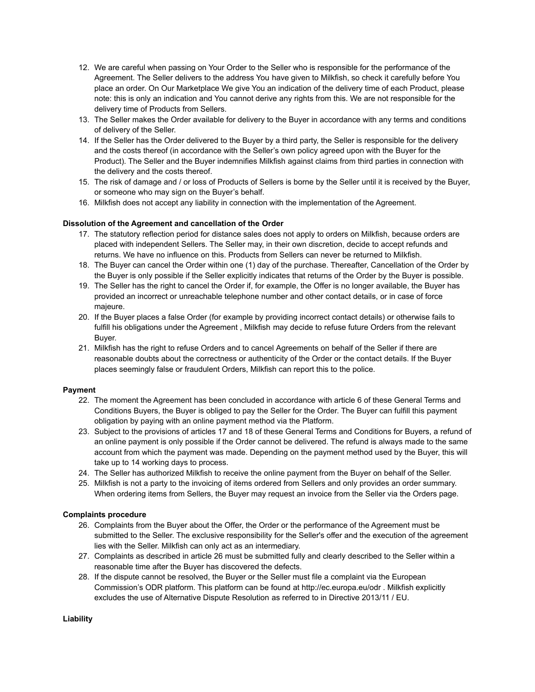- 12. We are careful when passing on Your Order to the Seller who is responsible for the performance of the Agreement. The Seller delivers to the address You have given to Milkfish, so check it carefully before You place an order. On Our Marketplace We give You an indication of the delivery time of each Product, please note: this is only an indication and You cannot derive any rights from this. We are not responsible for the delivery time of Products from Sellers.
- 13. The Seller makes the Order available for delivery to the Buyer in accordance with any terms and conditions of delivery of the Seller.
- 14. If the Seller has the Order delivered to the Buyer by a third party, the Seller is responsible for the delivery and the costs thereof (in accordance with the Seller's own policy agreed upon with the Buyer for the Product). The Seller and the Buyer indemnifies Milkfish against claims from third parties in connection with the delivery and the costs thereof.
- 15. The risk of damage and / or loss of Products of Sellers is borne by the Seller until it is received by the Buyer, or someone who may sign on the Buyer's behalf.
- 16. Milkfish does not accept any liability in connection with the implementation of the Agreement.

### **Dissolution of the Agreement and cancellation of the Order**

- 17. The statutory reflection period for distance sales does not apply to orders on Milkfish, because orders are placed with independent Sellers. The Seller may, in their own discretion, decide to accept refunds and returns. We have no influence on this. Products from Sellers can never be returned to Milkfish.
- 18. The Buyer can cancel the Order within one (1) day of the purchase. Thereafter, Cancellation of the Order by the Buyer is only possible if the Seller explicitly indicates that returns of the Order by the Buyer is possible.
- 19. The Seller has the right to cancel the Order if, for example, the Offer is no longer available, the Buyer has provided an incorrect or unreachable telephone number and other contact details, or in case of force majeure.
- 20. If the Buyer places a false Order (for example by providing incorrect contact details) or otherwise fails to fulfill his obligations under the Agreement , Milkfish may decide to refuse future Orders from the relevant Buyer.
- 21. Milkfish has the right to refuse Orders and to cancel Agreements on behalf of the Seller if there are reasonable doubts about the correctness or authenticity of the Order or the contact details. If the Buyer places seemingly false or fraudulent Orders, Milkfish can report this to the police.

#### **Payment**

- 22. The moment the Agreement has been concluded in accordance with article 6 of these General Terms and Conditions Buyers, the Buyer is obliged to pay the Seller for the Order. The Buyer can fulfill this payment obligation by paying with an online payment method via the Platform.
- 23. Subject to the provisions of articles 17 and 18 of these General Terms and Conditions for Buyers, a refund of an online payment is only possible if the Order cannot be delivered. The refund is always made to the same account from which the payment was made. Depending on the payment method used by the Buyer, this will take up to 14 working days to process.
- 24. The Seller has authorized Milkfish to receive the online payment from the Buyer on behalf of the Seller.
- 25. Milkfish is not a party to the invoicing of items ordered from Sellers and only provides an order summary. When ordering items from Sellers, the Buyer may request an invoice from the Seller via the Orders page.

#### **Complaints procedure**

- 26. Complaints from the Buyer about the Offer, the Order or the performance of the Agreement must be submitted to the Seller. The exclusive responsibility for the Seller's offer and the execution of the agreement lies with the Seller. Milkfish can only act as an intermediary.
- 27. Complaints as described in article 26 must be submitted fully and clearly described to the Seller within a reasonable time after the Buyer has discovered the defects.
- 28. If the dispute cannot be resolved, the Buyer or the Seller must file a complaint via the European Commission's ODR platform. This platform can be found at http://ec.europa.eu/odr . Milkfish explicitly excludes the use of Alternative Dispute Resolution as referred to in Directive 2013/11 / EU.

**Liability**